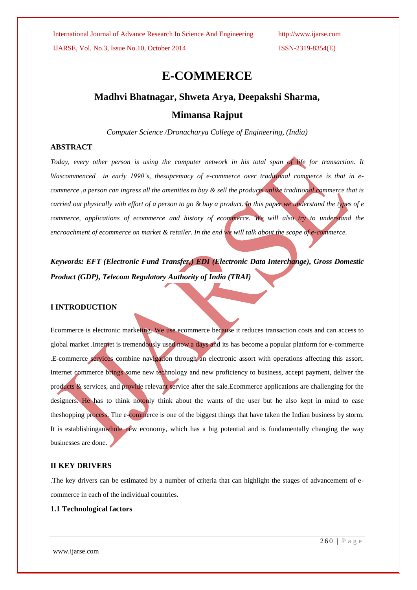IJARSE, Vol. No.3, Issue No.10, October 2014 ISSN-2319-8354(E)

# **E-COMMERCE**

## **Madhvi Bhatnagar, Shweta Arya, Deepakshi Sharma,**

## **Mimansa Rajput**

*Computer Science /Dronacharya College of Engineering, (India)*

## **ABSTRACT**

*Today, every other person is using the computer network in his total span of life for transaction. It Wascommenced in early 1990's, thesupremacy of e-commerce over traditional commerce is that in ecommerce ,a person can ingress all the amenities to buy & sell the products unlike traditional commerce that is carried out physically with effort of a person to go & buy a product. In this paper we understand the types of e commerce, applications of ecommerce and history of ecommerce. We will also try to understand the encroachment of ecommerce on market & retailer. In the end we will talk about the scope of e-commerce.*

*Keywords: EFT (Electronic Fund Transfer,) EDI (Electronic Data Interchange), Gross Domestic Product (GDP), Telecom Regulatory Authority of India (TRAI)*

### **I INTRODUCTION**

Ecommerce is electronic marketing. We use ecommerce because it reduces transaction costs and can access to global market .Internet is tremendously used now a days and its has become a popular platform for e-commerce .E-commerce services combine navigation through an electronic assort with operations affecting this assort. Internet commerce brings some new technology and new proficiency to business, accept payment, deliver the products & services, and provide relevant service after the sale.Ecommerce applications are challenging for the designers. He has to think notonly think about the wants of the user but he also kept in mind to ease theshopping process. The e-commerce is one of the biggest things that have taken the Indian business by storm. It is establishinganwhole new economy, which has a big potential and is fundamentally changing the way businesses are done.

### **II KEY DRIVERS**

.The key drivers can be estimated by a number of criteria that can highlight the stages of advancement of ecommerce in each of the individual countries.

### **1.1 Technological factors**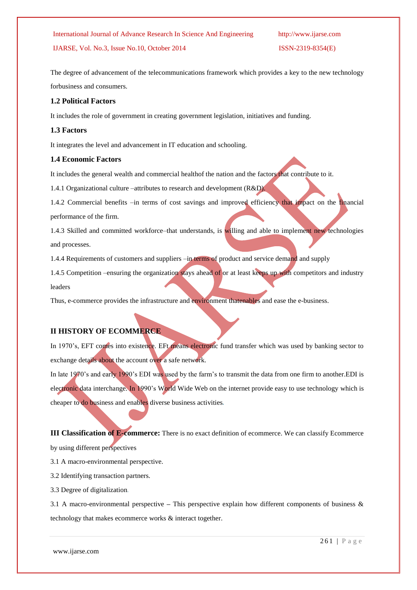## IJARSE, Vol. No.3, Issue No.10, October 2014 ISSN-2319-8354(E)

The degree of advancement of the telecommunications framework which provides a key to the new technology forbusiness and consumers.

### **1.2 Political Factors**

It includes the role of government in creating government legislation, initiatives and funding.

### **1.3 Factors**

It integrates the level and advancement in IT education and schooling.

### **1.4 Economic Factors**

It includes the general wealth and commercial healthof the nation and the factors that contribute to it.

1.4.1 Organizational culture –attributes to research and development (R&D).

1.4.2 Commercial benefits –in terms of cost savings and improved efficiency that impact on the financial performance of the firm.

1.4.3 Skilled and committed workforce–that understands, is willing and able to implement new technologies and processes.

1.4.4 Requirements of customers and suppliers –in terms of product and service demand and supply

1.4.5 Competition –ensuring the organization stays ahead of or at least keeps up with competitors and industry leaders

Thus, e-commerce provides the infrastructure and environment thatenables and ease the e-business.

### **II HISTORY OF ECOMMERCE**

In 1970's, EFT comes into existence. EFt means electronic fund transfer which was used by banking sector to exchange details about the account over a safe network.

In late 1970's and early 1990's EDI was used by the farm's to transmit the data from one firm to another. EDI is electronic data interchange. In 1990's World Wide Web on the internet provide easy to use technology which is cheaper to do business and enables diverse business activities*.*

**III Classification of E-commerce:** There is no exact definition of ecommerce. We can classify Ecommerce by using different perspectives

3.1 A macro-environmental perspective.

3.2 Identifying transaction partners.

3.3 Degree of digitalization*.*

3.1 A macro-environmental perspective *–* This perspective explain how different components of business & technology that makes ecommerce works & interact together.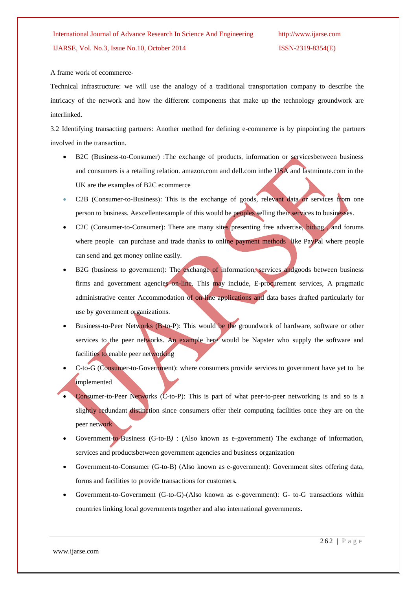### A frame work of ecommerce-

Technical infrastructure: we will use the analogy of a traditional transportation company to describe the intricacy of the network and how the different components that make up the technology groundwork are interlinked.

3.2 Identifying transacting partners: Another method for defining e-commerce is by pinpointing the partners involved in the transaction.

- B2C (Business-to-Consumer) :The exchange of products, information or servicesbetween business and consumers is a retailing relation. amazon.com and dell.com inthe USA and lastminute.com in the UK are the examples of B2C ecommerce
- C2B (Consumer-to-Business): This is the exchange of goods, relevant data or services from one person to business. Aexcellentexample of this would be peoples selling their services to businesses.
- C2C (Consumer-to-Consumer): There are many sites presenting free advertise, biding, and forums where people can purchase and trade thanks to online payment methods like PayPal where people can send and get money online easily.
- B2G (business to government): The exchange of information, services andgoods between business firms and government agencies on-line. This may include, E-procurement services, A pragmatic administrative center Accommodation of on-line applications and data bases drafted particularly for use by government organizations.
- Business-to-Peer Networks (B-to-P): This would be the groundwork of hardware, software or other services to the peer networks. An example here would be Napster who supply the software and facilities to enable peer networking
- C-to-G (Consumer-to-Government): where consumers provide services to government have yet to be implemented
- Consumer-to-Peer Networks (C-to-P): This is part of what peer-to-peer networking is and so is a slightly redundant distinction since consumers offer their computing facilities once they are on the peer network
- Government-to-Business (G-to-B*)* : (Also known as e-government) The exchange of information, services and productsbetween government agencies and business organization
- Government-to-Consumer (G-to-B) (Also known as e-government): Government sites offering data, forms and facilities to provide transactions for customers*.*
- Government-to-Government (G-to-G)-(Also known as e-government): G- to-G transactions within countries linking local governments together and also international governments*.*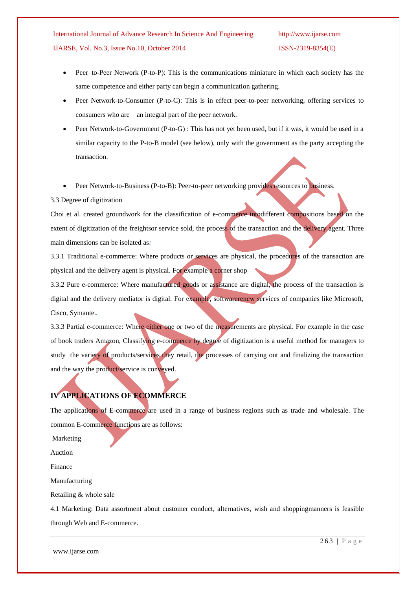International Journal of Advance Research In Science And Engineering http://www.ijarse.com IJARSE, Vol. No.3, Issue No.10, October 2014 ISSN-2319-8354(E)

- Peer–to-Peer Network (P-to-P): This is the communications miniature in which each society has the same competence and either party can begin a communication gathering.
- Peer Network-to-Consumer (P-to-C): This is in effect peer-to-peer networking, offering services to consumers who are an integral part of the peer network.
- Peer Network-to-Government (P-to-G) : This has not yet been used, but if it was, it would be used in a similar capacity to the P-to-B model (see below), only with the government as the party accepting the transaction.

Peer Network-to-Business (P-to-B): Peer-to-peer networking provides resources to business.

### 3.3 Degree of digitization

Choi et al. created groundwork for the classification of e-commerce intodifferent compositions based on the extent of digitization of the freightsor service sold, the process of the transaction and the delivery agent. Three main dimensions can be isolated as*:*

3.3.1 Traditional e-commerce: Where products or services are physical, the procedures of the transaction are physical and the delivery agent is physical. For example a corner shop

3.3.2 Pure e-commerce: Where manufactured goods or assistance are digital, the process of the transaction is digital and the delivery mediator is digital. For example, softwarerenew services of companies like Microsoft, Cisco, Symante.*.*

3.3.3 Partial e-commerce: Where either one or two of the measurements are physical. For example in the case of book traders Amazon, Classifying e-commerce by degree of digitization is a useful method for managers to study the variety of products/services they retail, the processes of carrying out and finalizing the transaction and the way the product/service is conveyed.

# **IV APPLICATIONS OF ECOMMERCE**

The applications of E-commerce are used in a range of business regions such as trade and wholesale. The common E-commerce functions are as follows:

Marketing

Auction

Finance

Manufacturing

Retailing & whole sale

4.1 Marketing: Data assortment about customer conduct, alternatives, wish and shoppingmanners is feasible through Web and E-commerce.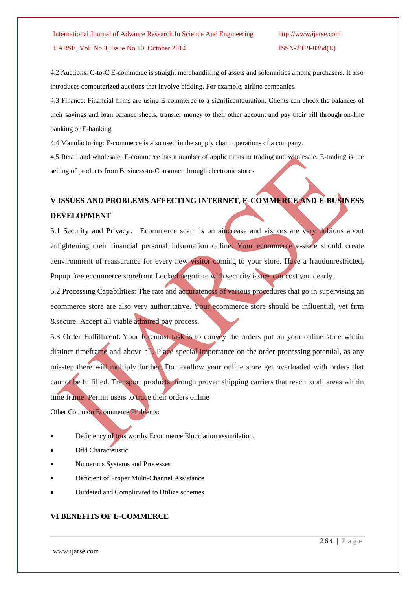# IJARSE, Vol. No.3, Issue No.10, October 2014 ISSN-2319-8354(E)

4.2 Auctions: C-to-C E-commerce is straight merchandising of assets and solemnities among purchasers. It also introduces computerized auctions that involve bidding. For example, airline companies*.*

4.3 Finance: Financial firms are using E-commerce to a significantduration. Clients can check the balances of their savings and loan balance sheets, transfer money to their other account and pay their bill through on-line banking or E-banking*.*

4.4 Manufacturing: E-commerce is also used in the supply chain operations of a company.

4.5 Retail and wholesale: E-commerce has a number of applications in trading and wholesale. E-trading is the selling of products from Business-to-Consumer through electronic stores

# **V ISSUES AND PROBLEMS AFFECTING INTERNET, E-COMMERCE AND E-BUSINESS DEVELOPMENT**

5.1 Security and Privacy: Ecommerce scam is on aincrease and visitors are very dubious about enlightening their financial personal information online. Your ecommerce e-store should create aenvironment of reassurance for every new visitor coming to your store. Have a fraudunrestricted, Popup free [ecommerce storefront.](http://www.goecart.com/Support/storefront_software.aspx)Locked negotiate with security issues can cost you dearly.

5.2 Processing Capabilities: The rate and accurateness of various procedures that go in supervising an ecommerce store are also very authoritative. Your ecommerce store should be influential, yet firm &secure. Accept all viable admired pay process.

5.3 Order Fulfillment: Your foremost task is to convey the orders put on your online store within distinct timeframe and above all, Place special importance on the [order processing](http://www.goecart.com/Support/ecommerce-solution-order-processing.aspx) potential, as any misstep there will multiply further. Do notallow your online store get overloaded with orders that cannot be fulfilled. Transport products through proven shipping carriers that reach to all areas within time frame. Permit users to trace their orders online

Other Common Ecommerce Problems:

- Deficiency of [trustworthy Ecommerce Elucidation](http://www.goecart.com/support/ecommerce-problem-integration-challenges.aspx) assimilation.
- [Odd](http://www.goecart.com/support/ecommerce-problem-outdated-features.aspx) Characteristic
- [Numerous Systems and Processes](http://www.goecart.com/support/ecommerce-problem-multiple-systems.aspx)
- [Deficient of Proper Multi-Channel Assistance](http://www.goecart.com/support/ecommerce-problem-no-multi-channel.aspx)
- [Outdated and Complicated to Utilize](http://www.goecart.com/support/ecommerce-problem-old-systems.aspx) schemes

## **VI BENEFITS OF E-COMMERCE**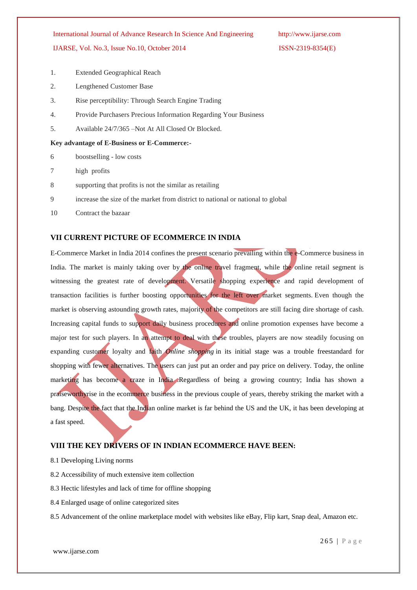### IJARSE, Vol. No.3, Issue No.10, October 2014 ISSN-2319-8354(E)

- 1. Extended Geographical Reach
- 2. Lengthened Customer Base
- 3. Rise perceptibility: Through Search Engine Trading
- 4. Provide Purchasers Precious Information Regarding Your Business
- 5. Available 24/7/365 –Not At All Closed Or Blocked.

### **Key advantage of E-Business or E-Commerce:-**

- 6 boostselling low costs
- 7 high profits
- 8 supporting that profits is not the similar as retailing
- 9 increase the size of the market from district to national or national to global
- 10 Contract the bazaar

### **VII CURRENT PICTURE OF ECOMMERCE IN INDIA**

E-Commerce Market in India 2014 confines the present scenario prevailing within the e-Commerce business in India. The market is mainly taking over by the online travel fragment, while the online retail segment is witnessing the greatest rate of development. Versatile shopping experience and rapid development of transaction facilities is further boosting opportunities for the left over market segments. Even though the market is observing astounding growth rates, majority of the competitors are still facing dire shortage of cash. Increasing capital funds to support daily business procedures and online promotion expenses have become a major test for such players. In an attempt to deal with these troubles, players are now steadily focusing on expanding customer loyalty and faith *Online shopping* in its initial stage was a trouble freestandard for shopping with fewer alternatives. The users can just put an order and pay price on delivery. Today, the online marketing has become a craze in India .Regardless of being a growing country; India has shown a praiseworthyrise in the ecommerce business in the previous couple of years, thereby striking the market with a bang. Despite the fact that the Indian online market is far behind the US and the UK, it has been developing at a fast speed.

### **VIII THE KEY DRIVERS OF IN INDIAN ECOMMERCE HAVE BEEN:**

- 8.1 Developing Living norms
- 8.2 Accessibility of much extensive item collection
- 8.3 Hectic lifestyles and lack of time for offline shopping
- 8.4 Enlarged usage of online categorized sites

8.5 Advancement of the online marketplace model with websites like eBay, Flip kart, Snap deal, Amazon etc.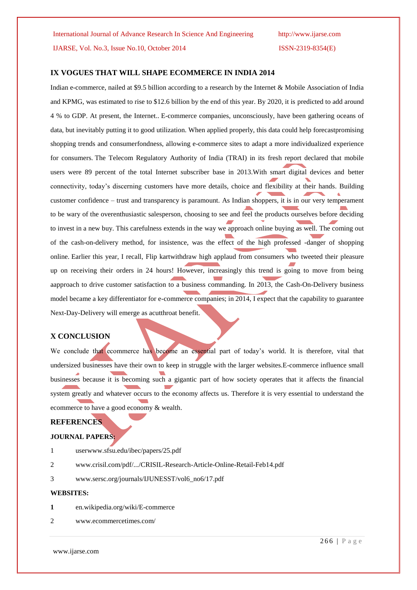IJARSE, Vol. No.3, Issue No.10, October 2014 ISSN-2319-8354(E)

### **IX VOGUES THAT WILL SHAPE ECOMMERCE IN INDIA 2014**

Indian e-commerce, nailed at \$9.5 billion according to a research by the Internet & Mobile Association of India and KPMG, was estimated to rise to \$12.6 billion by the end of this year. By 2020, it is predicted to add around 4 % to GDP. At present, the Internet.. E-commerce companies, unconsciously, have been gathering oceans of data, but inevitably putting it to good utilization. When applied properly, this data could help forecastpromising shopping trends and consumerfondness, allowing e-commerce sites to adapt a more individualized experience for consumers. The Telecom Regulatory Authority of India (TRAI) in its fresh report declared that mobile users were 89 percent of the total Internet subscriber base in 2013.With smart digital devices and better connectivity, today's discerning customers have more details, choice and flexibility at their hands. Building customer confidence – trust and transparency is paramount. As Indian shoppers, it is in our very temperament to be wary of the overenthusiastic salesperson, choosing to see and feel the products ourselves before deciding to invest in a new buy. This carefulness extends in the way we approach online buying as well. The coming out of the cash-on-delivery method, for insistence, was the effect of the high professed -danger of shopping online. Earlier this year, I recall, Flip kartwithdraw high applaud from consumers who tweeted their pleasure up on receiving their orders in 24 hours! However, increasingly this trend is going to move from being aapproach to drive customer satisfaction to a business commanding. In 2013, the Cash-On-Delivery business model became a key differentiator for e-commerce companies; in 2014, I expect that the capability to guarantee Next-Day-Delivery will emerge as acutthroat benefit.

### **X CONCLUSION**

We conclude that ecommerce has become an essential part of today's world. It is therefore, vital that undersized businesses have their own to keep in struggle with the larger websites.E-commerce influence small businesses because it is becoming such a gigantic part of how society operates that it affects the financial system greatly and whatever occurs to the economy affects us. Therefore it is very essential to understand the ecommerce to have a good economy & wealth.

### **REFERENCES**

### **JOURNAL PAPERS:**

- 1 userwww.sfsu.edu/ibec/papers/25.pdf
- 2 [www.crisil.com/pdf/.../CRISIL-Research-Article-Online-Retail-Feb14.pdf](http://www.crisil.com/pdf/.../CRISIL-Research-Article-Online-Retail-Feb14.pdf)
- 3 [www.sersc.org/journals/IJUNESST/vol6\\_no6/17.pdf](http://www.sersc.org/journals/IJUNESST/vol6_no6/17.pdf)

### **WEBSITES:**

- **1** en.wikipedia.org/wiki/E-commerce
- 2 [www.ecommercetimes.com/](http://www.ecommercetimes.com/)